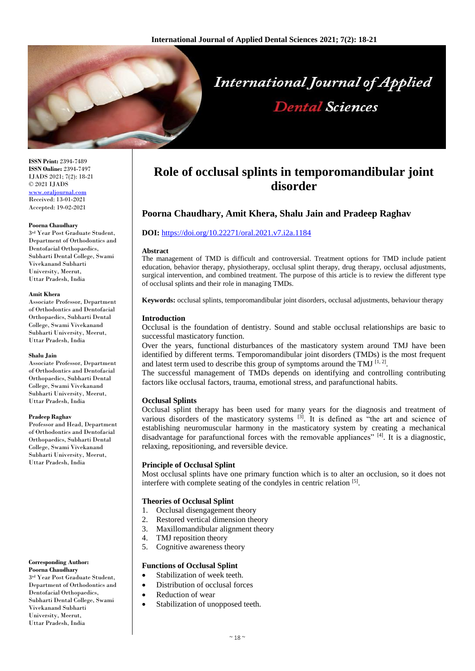

**ISSN Print:** 2394-7489 **ISSN Online:** 2394-7497 IJADS 2021; 7(2): 18-21 © 2021 IJADS [www.oraljournal.com](http://www.oraljournal.com/) Received: 13-01-2021 Accepted: 19-02-2021

#### **Poorna Chaudhary**

3 rd Year Post Graduate Student, Department of Orthodontics and Dentofacial Orthopaedics, Subharti Dental College, Swami Vivekanand Subharti University, Meerut, Uttar Pradesh, India

#### **Amit Khera**

Associate Professor, Department of Orthodontics and Dentofacial Orthopaedics, Subharti Dental College, Swami Vivekanand Subharti University, Meerut, Uttar Pradesh, India

#### **Shalu Jain**

Associate Professor, Department of Orthodontics and Dentofacial Orthopaedics, Subharti Dental College, Swami Vivekanand Subharti University, Meerut, Uttar Pradesh, India

#### **Pradeep Raghav**

Professor and Head, Department of Orthodontics and Dentofacial Orthopaedics, Subharti Dental College, Swami Vivekanand Subharti University, Meerut, Uttar Pradesh, India

#### **Corresponding Author: Poorna Chaudhary**

3 rd Year Post Graduate Student, Department of Orthodontics and Dentofacial Orthopaedics, Subharti Dental College, Swami Vivekanand Subharti University, Meerut, Uttar Pradesh, India

# **Role of occlusal splints in temporomandibular joint disorder**

# **Poorna Chaudhary, Amit Khera, Shalu Jain and Pradeep Raghav**

### **DOI:** <https://doi.org/10.22271/oral.2021.v7.i2a.1184>

#### **Abstract**

The management of TMD is difficult and controversial. Treatment options for TMD include patient education, behavior therapy, physiotherapy, occlusal splint therapy, drug therapy, occlusal adjustments, surgical intervention, and combined treatment. The purpose of this article is to review the different type of occlusal splints and their role in managing TMDs.

**Keywords:** occlusal splints, temporomandibular joint disorders, occlusal adjustments, behaviour therapy

### **Introduction**

Occlusal is the foundation of dentistry. Sound and stable occlusal relationships are basic to successful masticatory function.

Over the years, functional disturbances of the masticatory system around TMJ have been identified by different terms. Temporomandibular joint disorders (TMDs) is the most frequent and latest term used to describe this group of symptoms around the TMJ  $^{[1, 2]}$ .

The successful management of TMDs depends on identifying and controlling contributing factors like occlusal factors, trauma, emotional stress, and parafunctional habits.

### **Occlusal Splints**

Occlusal splint therapy has been used for many years for the diagnosis and treatment of various disorders of the masticatory systems  $\left[3\right]$ . It is defined as "the art and science of establishing neuromuscular harmony in the masticatory system by creating a mechanical disadvantage for parafunctional forces with the removable appliances" [4]. It is a diagnostic, relaxing, repositioning, and reversible device.

### **Principle of Occlusal Splint**

Most occlusal splints have one primary function which is to alter an occlusion, so it does not interfere with complete seating of the condyles in centric relation [5].

### **Theories of Occlusal Splint**

- 1. Occlusal disengagement theory
- 2. Restored vertical dimension theory
- 3. Maxillomandibular alignment theory
- 4. TMJ reposition theory
- 5. Cognitive awareness theory

### **Functions of Occlusal Splint**

- Stabilization of week teeth.
- Distribution of occlusal forces
- Reduction of wear
- Stabilization of unopposed teeth.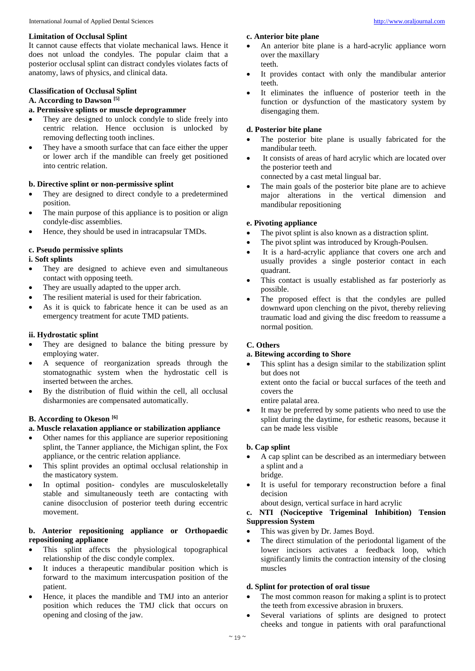### **Limitation of Occlusal Splint**

It cannot cause effects that violate mechanical laws. Hence it does not unload the condyles. The popular claim that a posterior occlusal splint can distract condyles violates facts of anatomy, laws of physics, and clinical data.

### **Classification of Occlusal Splint**

### **A. According to Dawson [5]**

# **a. Permissive splints or muscle deprogrammer**

- They are designed to unlock condyle to slide freely into centric relation. Hence occlusion is unlocked by removing deflecting tooth inclines.
- They have a smooth surface that can face either the upper or lower arch if the mandible can freely get positioned into centric relation.

### **b. Directive splint or non-permissive splint**

- They are designed to direct condyle to a predetermined position.
- The main purpose of this appliance is to position or align condyle-disc assemblies.
- Hence, they should be used in intracapsular TMDs.

### **c. Pseudo permissive splints**

### **i. Soft splints**

- They are designed to achieve even and simultaneous contact with opposing teeth.
- They are usually adapted to the upper arch.
- The resilient material is used for their fabrication.
- As it is quick to fabricate hence it can be used as an emergency treatment for acute TMD patients.

### **ii. Hydrostatic splint**

- They are designed to balance the biting pressure by employing water.
- A sequence of reorganization spreads through the stomatognathic system when the hydrostatic cell is inserted between the arches.
- By the distribution of fluid within the cell, all occlusal disharmonies are compensated automatically.

# **B. According to Okeson [6]**

## **a. Muscle relaxation appliance or stabilization appliance**

- Other names for this appliance are superior repositioning splint, the Tanner appliance, the Michigan splint, the Fox appliance, or the centric relation appliance.
- This splint provides an optimal occlusal relationship in the masticatory system.
- In optimal position- condyles are musculoskeletally stable and simultaneously teeth are contacting with canine disocclusion of posterior teeth during eccentric movement.

### **b. Anterior repositioning appliance or Orthopaedic repositioning appliance**

- This splint affects the physiological topographical relationship of the disc condyle complex.
- It induces a therapeutic mandibular position which is forward to the maximum intercuspation position of the patient.
- Hence, it places the mandible and TMJ into an anterior position which reduces the TMJ click that occurs on opening and closing of the jaw.

### **c. Anterior bite plane**

- An anterior bite plane is a hard-acrylic appliance worn over the maxillary teeth.
- It provides contact with only the mandibular anterior teeth.
- It eliminates the influence of posterior teeth in the function or dysfunction of the masticatory system by disengaging them.

### **d. Posterior bite plane**

- The posterior bite plane is usually fabricated for the mandibular teeth.
- It consists of areas of hard acrylic which are located over the posterior teeth and

connected by a cast metal lingual bar.

 The main goals of the posterior bite plane are to achieve major alterations in the vertical dimension and mandibular repositioning

### **e. Pivoting appliance**

- The pivot splint is also known as a distraction splint.
- The pivot splint was introduced by Krough-Poulsen.
- It is a hard-acrylic appliance that covers one arch and usually provides a single posterior contact in each quadrant.
- This contact is usually established as far posteriorly as possible.
- The proposed effect is that the condyles are pulled downward upon clenching on the pivot, thereby relieving traumatic load and giving the disc freedom to reassume a normal position.

## **C. Others**

## **a. Bitewing according to Shore**

• This splint has a design similar to the stabilization splint but does not

extent onto the facial or buccal surfaces of the teeth and covers the

entire palatal area.

 It may be preferred by some patients who need to use the splint during the daytime, for esthetic reasons, because it can be made less visible

## **b. Cap splint**

- A cap splint can be described as an intermediary between a splint and a bridge.
- It is useful for temporary reconstruction before a final decision
	- about design, vertical surface in hard acrylic

## **c. NTI (Nociceptive Trigeminal Inhibition) Tension Suppression System**

- This was given by Dr. James Boyd.
- The direct stimulation of the periodontal ligament of the lower incisors activates a feedback loop, which significantly limits the contraction intensity of the closing muscles

### **d. Splint for protection of oral tissue**

- The most common reason for making a splint is to protect the teeth from excessive abrasion in bruxers.
- Several variations of splints are designed to protect cheeks and tongue in patients with oral parafunctional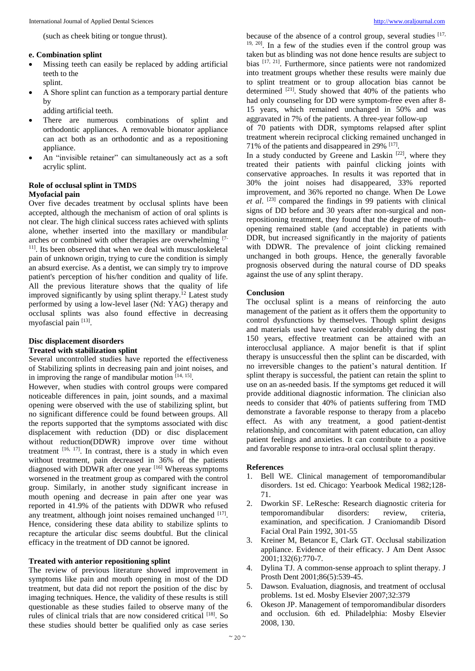(such as cheek biting or tongue thrust).

#### **e. Combination splint**

- Missing teeth can easily be replaced by adding artificial teeth to the splint.
- A Shore splint can function as a temporary partial denture by
	- adding artificial teeth.
- There are numerous combinations of splint and orthodontic appliances. A removable bionator appliance can act both as an orthodontic and as a repositioning appliance.
- An "invisible retainer" can simultaneously act as a soft acrylic splint.

## **Role of occlusal splint in TMDS**

### **Myofacial pain**

Over five decades treatment by occlusal splints have been accepted, although the mechanism of action of oral splints is not clear. The high clinical success rates achieved with splints alone, whether inserted into the maxillary or mandibular arches or combined with other therapies are overwhelming [7- <sup>11]</sup>. Its been observed that when we deal with musculoskeletal pain of unknown origin, trying to cure the condition is simply an absurd exercise. As a dentist, we can simply try to improve patient's perception of his/her condition and quality of life. All the previous literature shows that the quality of life improved significantly by using splint therapy.<sup>12</sup> Latest study performed by using a low-level laser (Nd: YAG) therapy and occlusal splints was also found effective in decreasing myofascial pain [13].

# **Disc displacement disorders**

### **Treated with stabilization splint**

Several uncontrolled studies have reported the effectiveness of Stabilizing splints in decreasing pain and joint noises, and in improving the range of mandibular motion  $[14, 15]$ .

However, when studies with control groups were compared noticeable differences in pain, joint sounds, and a maximal opening were observed with the use of stabilizing splint, but no significant difference could be found between groups. All the reports supported that the symptoms associated with disc displacement with reduction (DD) or disc displacement without reduction(DDWR) improve over time without treatment  $[16, 17]$ . In contrast, there is a study in which even without treatment, pain decreased in 36% of the patients diagnosed with DDWR after one year  $[16]$  Whereas symptoms worsened in the treatment group as compared with the control group. Similarly, in another study significant increase in mouth opening and decrease in pain after one year was reported in 41.9% of the patients with DDWR who refused any treatment, although joint noises remained unchanged [17]. Hence, considering these data ability to stabilize splints to recapture the articular disc seems doubtful. But the clinical efficacy in the treatment of DD cannot be ignored.

### **Treated with anterior repositioning splint**

The review of previous literature showed improvement in symptoms like pain and mouth opening in most of the DD treatment, but data did not report the position of the disc by imaging techniques. Hence, the validity of these results is still questionable as these studies failed to observe many of the rules of clinical trials that are now considered critical [18]. So these studies should better be qualified only as case series

because of the absence of a control group, several studies  $[17, 12]$ 19, 20] . In a few of the studies even if the control group was taken but as blinding was not done hence results are subject to bias <sup>[17, 21]</sup>. Furthermore, since patients were not randomized into treatment groups whether these results were mainly due to splint treatment or to group allocation bias cannot be determined  $[21]$ . Study showed that 40% of the patients who had only counseling for DD were symptom-free even after 8- 15 years, which remained unchanged in 50% and was aggravated in 7% of the patients. A three-year follow-up

of 70 patients with DDR, symptoms relapsed after splint treatment wherein reciprocal clicking remained unchanged in 71% of the patients and disappeared in 29% [17] .

In a study conducted by Greene and Laskin  $[22]$ , where they treated their patients with painful clicking joints with conservative approaches. In results it was reported that in 30% the joint noises had disappeared, 33% reported improvement, and 36% reported no change. When De Lowe *et al*. [23] compared the findings in 99 patients with clinical signs of DD before and 30 years after non-surgical and nonrepositioning treatment, they found that the degree of mouthopening remained stable (and acceptable) in patients with DDR, but increased significantly in the majority of patients with DDWR. The prevalence of joint clicking remained unchanged in both groups. Hence, the generally favorable prognosis observed during the natural course of DD speaks against the use of any splint therapy.

### **Conclusion**

The occlusal splint is a means of reinforcing the auto management of the patient as it offers them the opportunity to control dysfunctions by themselves. Though splint designs and materials used have varied considerably during the past 150 years, effective treatment can be attained with an interocclusal appliance. A major benefit is that if splint therapy is unsuccessful then the splint can be discarded, with no irreversible changes to the patient's natural dentition. If splint therapy is successful, the patient can retain the splint to use on an as-needed basis. If the symptoms get reduced it will provide additional diagnostic information. The clinician also needs to consider that 40% of patients suffering from TMD demonstrate a favorable response to therapy from a placebo effect. As with any treatment, a good patient-dentist relationship, and concomitant with patent education, can alloy patient feelings and anxieties. It can contribute to a positive and favorable response to intra-oral occlusal splint therapy.

### **References**

- 1. Bell WE. Clinical management of temporomandibular disorders. 1st ed. Chicago: Yearbook Medical 1982;128- 71.
- 2. Dworkin SF. LeResche: Research diagnostic criteria for temporomandibular disorders: review, criteria, examination, and specification. J Craniomandib Disord Facial Oral Pain 1992, 301-55
- 3. Kreiner M, Betancor E, Clark GT. Occlusal stabilization appliance. Evidence of their efficacy. J Am Dent Assoc 2001;132(6):770-7.
- 4. Dylina TJ. A common-sense approach to splint therapy. J Prosth Dent 2001;86(5):539-45.
- 5. Dawson. Evaluation, diagnosis, and treatment of occlusal problems. 1st ed. Mosby Elsevier 2007;32:379
- 6. Okeson JP. Management of temporomandibular disorders and occlusion. 6th ed. Philadelphia: Mosby Elsevier 2008, 130.